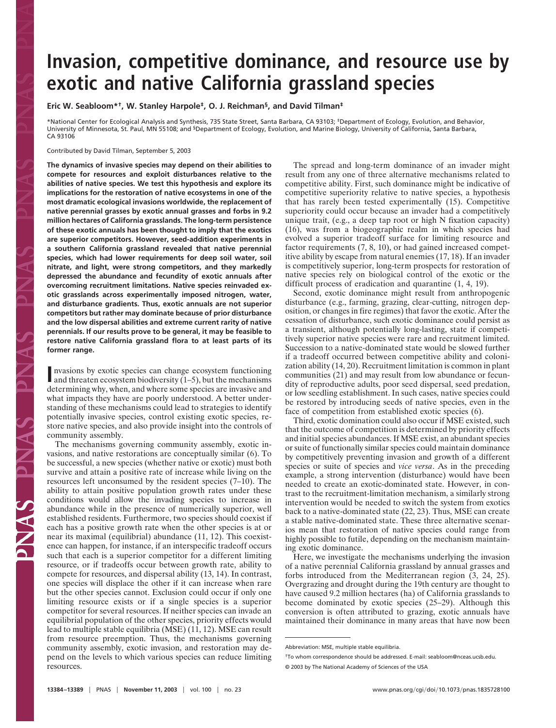# **Invasion, competitive dominance, and resource use by exotic and native California grassland species**

**Eric W. Seabloom\*†, W. Stanley Harpole‡, O. J. Reichman§, and David Tilman‡**

\*National Center for Ecological Analysis and Synthesis, 735 State Street, Santa Barbara, CA 93103; ‡Department of Ecology, Evolution, and Behavior, University of Minnesota, St. Paul, MN 55108; and §Department of Ecology, Evolution, and Marine Biology, University of California, Santa Barbara, CA 93106

Contributed by David Tilman, September 5, 2003

**The dynamics of invasive species may depend on their abilities to compete for resources and exploit disturbances relative to the abilities of native species. We test this hypothesis and explore its implications for the restoration of native ecosystems in one of the most dramatic ecological invasions worldwide, the replacement of native perennial grasses by exotic annual grasses and forbs in 9.2 million hectares of California grasslands. The long-term persistence of these exotic annuals has been thought to imply that the exotics are superior competitors. However, seed-addition experiments in a southern California grassland revealed that native perennial species, which had lower requirements for deep soil water, soil nitrate, and light, were strong competitors, and they markedly depressed the abundance and fecundity of exotic annuals after overcoming recruitment limitations. Native species reinvaded exotic grasslands across experimentally imposed nitrogen, water, and disturbance gradients. Thus, exotic annuals are not superior competitors but rather may dominate because of prior disturbance and the low dispersal abilities and extreme current rarity of native perennials. If our results prove to be general, it may be feasible to restore native California grassland flora to at least parts of its former range.**

Invasions by exotic species can change ecosystem functioning<br>and threaten ecosystem biodiversity (1–5), but the mechanisms and threaten ecosystem biodiversity (1–5), but the mechanisms determining why, when, and where some species are invasive and what impacts they have are poorly understood. A better understanding of these mechanisms could lead to strategies to identify potentially invasive species, control existing exotic species, restore native species, and also provide insight into the controls of community assembly.

The mechanisms governing community assembly, exotic invasions, and native restorations are conceptually similar (6). To be successful, a new species (whether native or exotic) must both survive and attain a positive rate of increase while living on the resources left unconsumed by the resident species (7–10). The ability to attain positive population growth rates under these conditions would allow the invading species to increase in abundance while in the presence of numerically superior, well established residents. Furthermore, two species should coexist if each has a positive growth rate when the other species is at or near its maximal (equilibrial) abundance (11, 12). This coexistence can happen, for instance, if an interspecific tradeoff occurs such that each is a superior competitor for a different limiting resource, or if tradeoffs occur between growth rate, ability to compete for resources, and dispersal ability (13, 14). In contrast, one species will displace the other if it can increase when rare but the other species cannot. Exclusion could occur if only one limiting resource exists or if a single species is a superior competitor for several resources. If neither species can invade an equilibrial population of the other species, priority effects would lead to multiple stable equilibria (MSE) (11, 12). MSE can result from resource preemption. Thus, the mechanisms governing community assembly, exotic invasion, and restoration may depend on the levels to which various species can reduce limiting resources.

The spread and long-term dominance of an invader might result from any one of three alternative mechanisms related to competitive ability. First, such dominance might be indicative of competitive superiority relative to native species, a hypothesis that has rarely been tested experimentally (15). Competitive superiority could occur because an invader had a competitively unique trait, (e.g., a deep tap root or high N fixation capacity) (16), was from a biogeographic realm in which species had evolved a superior tradeoff surface for limiting resource and factor requirements (7, 8, 10), or had gained increased competitive ability by escape from natural enemies (17, 18). If an invader is competitively superior, long-term prospects for restoration of native species rely on biological control of the exotic or the difficult process of eradication and quarantine (1, 4, 19).

Second, exotic dominance might result from anthropogenic disturbance (e.g., farming, grazing, clear-cutting, nitrogen deposition, or changes in fire regimes) that favor the exotic. After the cessation of disturbance, such exotic dominance could persist as a transient, although potentially long-lasting, state if competitively superior native species were rare and recruitment limited. Succession to a native-dominated state would be slowed further if a tradeoff occurred between competitive ability and colonization ability (14, 20). Recruitment limitation is common in plant communities (21) and may result from low abundance or fecundity of reproductive adults, poor seed dispersal, seed predation, or low seedling establishment. In such cases, native species could be restored by introducing seeds of native species, even in the face of competition from established exotic species (6).

Third, exotic domination could also occur if MSE existed, such that the outcome of competition is determined by priority effects and initial species abundances. If MSE exist, an abundant species or suite of functionally similar species could maintain dominance by competitively preventing invasion and growth of a different species or suite of species and *vice versa*. As in the preceding example, a strong intervention (disturbance) would have been needed to create an exotic-dominated state. However, in contrast to the recruitment-limitation mechanism, a similarly strong intervention would be needed to switch the system from exotics back to a native-dominated state (22, 23). Thus, MSE can create a stable native-dominated state. These three alternative scenarios mean that restoration of native species could range from highly possible to futile, depending on the mechanism maintaining exotic dominance.

Here, we investigate the mechanisms underlying the invasion of a native perennial California grassland by annual grasses and forbs introduced from the Mediterranean region (3, 24, 25). Overgrazing and drought during the 19th century are thought to have caused 9.2 million hectares (ha) of California grasslands to become dominated by exotic species (25–29). Although this conversion is often attributed to grazing, exotic annuals have maintained their dominance in many areas that have now been

Abbreviation: MSE, multiple stable equilibria.

<sup>†</sup>To whom correspondence should be addressed. E-mail: seabloom@nceas.ucsb.edu. © 2003 by The National Academy of Sciences of the USA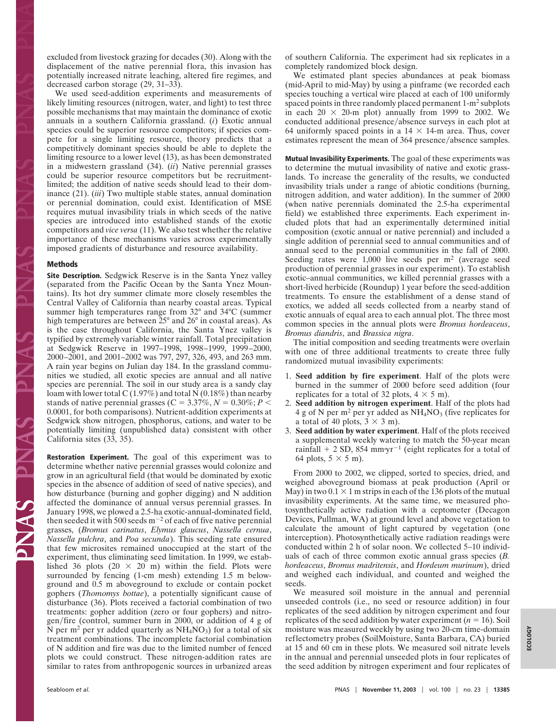excluded from livestock grazing for decades (30). Along with the displacement of the native perennial flora, this invasion has potentially increased nitrate leaching, altered fire regimes, and decreased carbon storage (29, 31–33).

We used seed-addition experiments and measurements of likely limiting resources (nitrogen, water, and light) to test three possible mechanisms that may maintain the dominance of exotic annuals in a southern California grassland. (*i*) Exotic annual species could be superior resource competitors; if species compete for a single limiting resource, theory predicts that a competitively dominant species should be able to deplete the limiting resource to a lower level (13), as has been demonstrated in a midwestern grassland (34). (*ii*) Native perennial grasses could be superior resource competitors but be recruitmentlimited; the addition of native seeds should lead to their dominance (21). (*iii*) Two multiple stable states, annual domination or perennial domination, could exist. Identification of MSE requires mutual invasibility trials in which seeds of the native species are introduced into established stands of the exotic competitors and *vice versa* (11). We also test whether the relative importance of these mechanisms varies across experimentally imposed gradients of disturbance and resource availability.

#### **Methods**

**Site Description.** Sedgwick Reserve is in the Santa Ynez valley (separated from the Pacific Ocean by the Santa Ynez Mountains). Its hot dry summer climate more closely resembles the Central Valley of California than nearby coastal areas. Typical summer high temperatures range from 32° and 34°C (summer high temperatures are between 25<sup>°</sup> and 26<sup>°</sup> in coastal areas). As is the case throughout California, the Santa Ynez valley is typified by extremely variable winter rainfall. Total precipitation at Sedgwick Reserve in 1997–1998, 1998–1999, 1999–2000, 2000–2001, and 2001–2002 was 797, 297, 326, 493, and 263 mm. A rain year begins on Julian day 184. In the grassland communities we studied, all exotic species are annual and all native species are perennial. The soil in our study area is a sandy clay loam with lower total C (1.97%) and total N (0.18%) than nearby stands of native perennial grasses ( $C = 3.37\%, N = 0.30\%; P <$ 0.0001, for both comparisons). Nutrient-addition experiments at Sedgwick show nitrogen, phosphorus, cations, and water to be potentially limiting (unpublished data) consistent with other California sites (33, 35).

**Restoration Experiment.** The goal of this experiment was to determine whether native perennial grasses would colonize and grow in an agricultural field (that would be dominated by exotic species in the absence of addition of seed of native species), and how disturbance (burning and gopher digging) and N addition affected the dominance of annual versus perennial grasses. In January 1998, we plowed a 2.5-ha exotic-annual-dominated field, then seeded it with 500 seeds  $m^{-2}$  of each of five native perennial grasses, (*Bromus carinatus*, *Elymus glaucus*, *Nassella cernua*, *Nassella pulchra*, and *Poa secunda*). This seeding rate ensured that few microsites remained unoccupied at the start of the experiment, thus eliminating seed limitation. In 1999, we established 36 plots  $(20 \times 20)$  m) within the field. Plots were surrounded by fencing (1-cm mesh) extending 1.5 m belowground and 0.5 m aboveground to exclude or contain pocket gophers (*Thomomys bottae*), a potentially significant cause of disturbance (36). Plots received a factorial combination of two treatments: gopher addition (zero or four gophers) and nitrogen/fire (control, summer burn in 2000, or addition of 4 g of N per m<sup>2</sup> per yr added quarterly as  $NH<sub>4</sub>NO<sub>3</sub>$  for a total of six treatment combinations. The incomplete factorial combination of N addition and fire was due to the limited number of fenced plots we could construct. These nitrogen-addition rates are similar to rates from anthropogenic sources in urbanized areas

of southern California. The experiment had six replicates in a completely randomized block design.

We estimated plant species abundances at peak biomass (mid-April to mid-May) by using a pinframe (we recorded each species touching a vertical wire placed at each of 100 uniformly spaced points in three randomly placed permanent 1-m<sup>2</sup> subplots in each  $20 \times 20$ -m plot) annually from 1999 to 2002. We conducted additional presence/absence surveys in each plot at 64 uniformly spaced points in a  $14 \times 14$ -m area. Thus, cover estimates represent the mean of 364 presence/absence samples.

**Mutual Invasibility Experiments.** The goal of these experiments was to determine the mutual invasibility of native and exotic grasslands. To increase the generality of the results, we conducted invasibility trials under a range of abiotic conditions (burning, nitrogen addition, and water addition). In the summer of 2000 (when native perennials dominated the 2.5-ha experimental field) we established three experiments. Each experiment included plots that had an experimentally determined initial composition (exotic annual or native perennial) and included a single addition of perennial seed to annual communities and of annual seed to the perennial communities in the fall of 2000. Seeding rates were  $1,000$  live seeds per  $m<sup>2</sup>$  (average seed production of perennial grasses in our experiment). To establish exotic–annual communities, we killed perennial grasses with a short-lived herbicide (Roundup) 1 year before the seed-addition treatments. To ensure the establishment of a dense stand of exotics, we added all seeds collected from a nearby stand of exotic annuals of equal area to each annual plot. The three most common species in the annual plots were *Bromus hordeaceus*, *Bromus diandris*, and *Brassica nigra*.

The initial composition and seeding treatments were overlain with one of three additional treatments to create three fully randomized mutual invasibility experiments:

- 1. **Seed addition by fire experiment**. Half of the plots were burned in the summer of 2000 before seed addition (four replicates for a total of 32 plots,  $4 \times 5$  m).
- 2. **Seed addition by nitrogen experiment**. Half of the plots had 4 g of N per m<sup>2</sup> per yr added as  $NH<sub>4</sub>NO<sub>3</sub>$  (five replicates for a total of 40 plots,  $3 \times 3$  m).
- 3. **Seed addition by water experiment**. Half of the plots received a supplemental weekly watering to match the 50-year mean rainfall  $+ 2$  SD, 854 mm·yr<sup>-1</sup> (eight replicates for a total of 64 plots,  $5 \times 5$  m).

From 2000 to 2002, we clipped, sorted to species, dried, and weighed aboveground biomass at peak production (April or May) in two  $0.1 \times 1$  m strips in each of the 136 plots of the mutual invasibility experiments. At the same time, we measured photosynthetically active radiation with a ceptometer (Decagon Devices, Pullman, WA) at ground level and above vegetation to calculate the amount of light captured by vegetation (one interception). Photosynthetically active radiation readings were conducted within 2 h of solar noon. We collected 5–10 individuals of each of three common exotic annual grass species (*B. hordeaceus*, *Bromus madritensis*, and *Hordeum murinum*), dried and weighed each individual, and counted and weighed the seeds.

We measured soil moisture in the annual and perennial unseeded controls (i.e., no seed or resource addition) in four replicates of the seed addition by nitrogen experiment and four replicates of the seed addition by water experiment  $(n = 16)$ . Soil moisture was measured weekly by using two 20-cm time-domain reflectometry probes (SoilMoisture, Santa Barbara, CA) buried at 15 and 60 cm in these plots. We measured soil nitrate levels in the annual and perennial unseeded plots in four replicates of the seed addition by nitrogen experiment and four replicates of

PNAS PN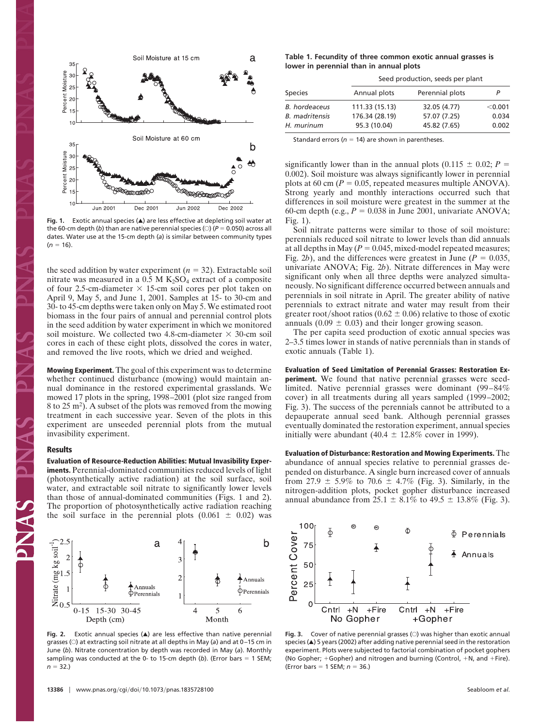

**Fig. 1.** Exotic annual species (A) are less effective at depleting soil water at the 60-cm depth (*b*) than are native perennial species ( $\circ$ ) ( $P = 0.050$ ) across all dates. Water use at the 15-cm depth (*a*) is similar between community types  $(n = 16)$ .

the seed addition by water experiment  $(n = 32)$ . Extractable soil nitrate was measured in a  $0.\overline{5}$  M K<sub>2</sub>SO<sub>4</sub> extract of a composite of four 2.5-cm-diameter  $\times$  15-cm soil cores per plot taken on April 9, May 5, and June 1, 2001. Samples at 15- to 30-cm and 30- to 45-cm depths were taken only on May 5. We estimated root biomass in the four pairs of annual and perennial control plots in the seed addition by water experiment in which we monitored soil moisture. We collected two 4.8-cm-diameter  $\times$  30-cm soil cores in each of these eight plots, dissolved the cores in water, and removed the live roots, which we dried and weighed.

**Mowing Experiment.** The goal of this experiment was to determine whether continued disturbance (mowing) would maintain annual dominance in the restored experimental grasslands. We mowed 17 plots in the spring, 1998–2001 (plot size ranged from 8 to 25 m2). A subset of the plots was removed from the mowing treatment in each successive year. Seven of the plots in this experiment are unseeded perennial plots from the mutual invasibility experiment.

## **Results**

**Evaluation of Resource-Reduction Abilities: Mutual Invasibility Experiments.** Perennial-dominated communities reduced levels of light (photosynthetically active radiation) at the soil surface, soil water, and extractable soil nitrate to significantly lower levels than those of annual-dominated communities (Figs. 1 and 2). The proportion of photosynthetically active radiation reaching the soil surface in the perennial plots  $(0.061 \pm 0.02)$  was



Fig. 2. Exotic annual species (A) are less effective than native perennial grasses (E) at extracting soil nitrate at all depths in May (*a*) and at 0–15 cm in June (*b*). Nitrate concentration by depth was recorded in May (*a*). Monthly sampling was conducted at the 0- to 15-cm depth  $(b)$ . (Error bars  $= 1$  SEM;  $n = 32.$ 

### **Table 1. Fecundity of three common exotic annual grasses is lower in perennial than in annual plots**

|                       | Seed production, seeds per plant |                 |           |  |  |  |
|-----------------------|----------------------------------|-----------------|-----------|--|--|--|
| <b>Species</b>        | Annual plots                     | Perennial plots |           |  |  |  |
| <b>B.</b> hordeaceus  | 111.33 (15.13)                   | 32.05 (4.77)    | $<$ 0.001 |  |  |  |
| <b>B.</b> madritensis | 176.34 (28.19)                   | 57.07 (7.25)    | 0.034     |  |  |  |
| H. murinum            | 95.3 (10.04)                     | 45.82 (7.65)    | 0.002     |  |  |  |

Standard errors ( $n = 14$ ) are shown in parentheses.

significantly lower than in the annual plots  $(0.115 \pm 0.02; P =$ 0.002). Soil moisture was always significantly lower in perennial plots at 60 cm ( $P = 0.05$ , repeated measures multiple ANOVA). Strong yearly and monthly interactions occurred such that differences in soil moisture were greatest in the summer at the 60-cm depth (e.g.,  $P = 0.038$  in June 2001, univariate ANOVA; Fig. 1).

Soil nitrate patterns were similar to those of soil moisture: perennials reduced soil nitrate to lower levels than did annuals at all depths in May  $(P = 0.045$ , mixed-model repeated measures; Fig. 2*b*), and the differences were greatest in June ( $P = 0.035$ , univariate ANOVA; Fig. 2*b*). Nitrate differences in May were significant only when all three depths were analyzed simultaneously. No significant difference occurred between annuals and perennials in soil nitrate in April. The greater ability of native perennials to extract nitrate and water may result from their greater root/shoot ratios ( $0.62 \pm 0.06$ ) relative to those of exotic annuals ( $0.09 \pm 0.03$ ) and their longer growing season.

The per capita seed production of exotic annual species was 2–3.5 times lower in stands of native perennials than in stands of exotic annuals (Table 1).

**Evaluation of Seed Limitation of Perennial Grasses: Restoration Experiment.** We found that native perennial grasses were seedlimited. Native perennial grasses were dominant (99–84% cover) in all treatments during all years sampled (1999–2002; Fig. 3). The success of the perennials cannot be attributed to a depauperate annual seed bank. Although perennial grasses eventually dominated the restoration experiment, annual species initially were abundant (40.4  $\pm$  12.8% cover in 1999).

**Evaluation of Disturbance: Restoration and Mowing Experiments.** The abundance of annual species relative to perennial grasses depended on disturbance. A single burn increased cover of annuals from 27.9  $\pm$  5.9% to 70.6  $\pm$  4.7% (Fig. 3). Similarly, in the nitrogen-addition plots, pocket gopher disturbance increased annual abundance from  $25.1 \pm 8.1\%$  to  $49.5 \pm 13.8\%$  (Fig. 3).



Fig. 3. Cover of native perennial grasses (O) was higher than exotic annual species ( $\triangle$ ) 5 years (2002) after adding native perennial seed in the restoration experiment. Plots were subjected to factorial combination of pocket gophers (No Gopher;  $+$  Gopher) and nitrogen and burning (Control,  $+N$ , and  $+F$ ire). (Error bars  $= 1$  SEM;  $n = 36$ .)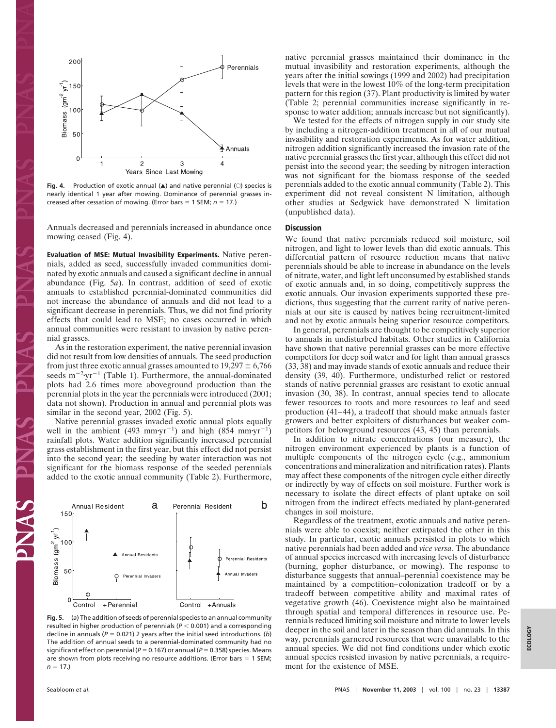

**Fig. 4.** Production of exotic annual ( $\triangle$ ) and native perennial ( $\circ$ ) species is nearly identical 1 year after mowing. Dominance of perennial grasses increased after cessation of mowing. (Error bars  $= 1$  SEM;  $n = 17$ .)

Annuals decreased and perennials increased in abundance once mowing ceased (Fig. 4).

**Evaluation of MSE: Mutual Invasibility Experiments.** Native perennials, added as seed, successfully invaded communities dominated by exotic annuals and caused a significant decline in annual abundance (Fig. 5*a*). In contrast, addition of seed of exotic annuals to established perennial-dominated communities did not increase the abundance of annuals and did not lead to a significant decrease in perennials. Thus, we did not find priority effects that could lead to MSE; no cases occurred in which annual communities were resistant to invasion by native perennial grasses.

As in the restoration experiment, the native perennial invasion did not result from low densities of annuals. The seed production from just three exotic annual grasses amounted to  $19,297 \pm 6,766$ seeds  $m^{-2}$ -yr<sup>-1</sup> (Table 1). Furthermore, the annual-dominated plots had 2.6 times more aboveground production than the perennial plots in the year the perennials were introduced (2001; data not shown). Production in annual and perennial plots was similar in the second year, 2002 (Fig. 5).

Native perennial grasses invaded exotic annual plots equally well in the ambient (493 mm·yr<sup>-1</sup>) and high (854 mm·yr<sup>-1</sup>) rainfall plots. Water addition significantly increased perennial grass establishment in the first year, but this effect did not persist into the second year; the seeding by water interaction was not significant for the biomass response of the seeded perennials added to the exotic annual community (Table 2). Furthermore,



**Fig. 5.** (*a*) The addition of seeds of perennial species to an annual community resulted in higher production of perennials ( $P < 0.001$ ) and a corresponding decline in annuals ( $P = 0.021$ ) 2 years after the initial seed introductions. (b) The addition of annual seeds to a perennial-dominated community had no significant effect on perennial ( $P = 0.167$ ) or annual ( $P = 0.358$ ) species. Means are shown from plots receiving no resource additions. (Error bars  $= 1$  SEM;  $n = 17.$ 

native perennial grasses maintained their dominance in the mutual invasibility and restoration experiments, although the years after the initial sowings (1999 and 2002) had precipitation levels that were in the lowest 10% of the long-term precipitation pattern for this region (37). Plant productivity is limited by water (Table 2; perennial communities increase significantly in response to water addition; annuals increase but not significantly).

We tested for the effects of nitrogen supply in our study site by including a nitrogen-addition treatment in all of our mutual invasibility and restoration experiments. As for water addition, nitrogen addition significantly increased the invasion rate of the native perennial grasses the first year, although this effect did not persist into the second year; the seeding by nitrogen interaction was not significant for the biomass response of the seeded perennials added to the exotic annual community (Table 2). This experiment did not reveal consistent N limitation, although other studies at Sedgwick have demonstrated N limitation (unpublished data).

## **Discussion**

We found that native perennials reduced soil moisture, soil nitrogen, and light to lower levels than did exotic annuals. This differential pattern of resource reduction means that native perennials should be able to increase in abundance on the levels of nitrate, water, and light left unconsumed by established stands of exotic annuals and, in so doing, competitively suppress the exotic annuals. Our invasion experiments supported these predictions, thus suggesting that the current rarity of native perennials at our site is caused by natives being recruitment-limited and not by exotic annuals being superior resource competitors.

In general, perennials are thought to be competitively superior to annuals in undisturbed habitats. Other studies in California have shown that native perennial grasses can be more effective competitors for deep soil water and for light than annual grasses (33, 38) and may invade stands of exotic annuals and reduce their density (39, 40). Furthermore, undisturbed relict or restored stands of native perennial grasses are resistant to exotic annual invasion (30, 38). In contrast, annual species tend to allocate fewer resources to roots and more resources to leaf and seed production (41–44), a tradeoff that should make annuals faster growers and better exploiters of disturbances but weaker competitors for belowground resources (43, 45) than perennials.

In addition to nitrate concentrations (our measure), the nitrogen environment experienced by plants is a function of multiple components of the nitrogen cycle (e.g., ammonium concentrations and mineralization and nitrification rates). Plants may affect these components of the nitrogen cycle either directly or indirectly by way of effects on soil moisture. Further work is necessary to isolate the direct effects of plant uptake on soil nitrogen from the indirect effects mediated by plant-generated changes in soil moisture.

Regardless of the treatment, exotic annuals and native perennials were able to coexist; neither extirpated the other in this study. In particular, exotic annuals persisted in plots to which native perennials had been added and *vice versa*. The abundance of annual species increased with increasing levels of disturbance (burning, gopher disturbance, or mowing). The response to disturbance suggests that annual–perennial coexistence may be maintained by a competition–colonization tradeoff or by a tradeoff between competitive ability and maximal rates of vegetative growth (46). Coexistence might also be maintained through spatial and temporal differences in resource use. Perennials reduced limiting soil moisture and nitrate to lower levels deeper in the soil and later in the season than did annuals. In this way, perennials garnered resources that were unavailable to the annual species. We did not find conditions under which exotic annual species resisted invasion by native perennials, a requirement for the existence of MSE.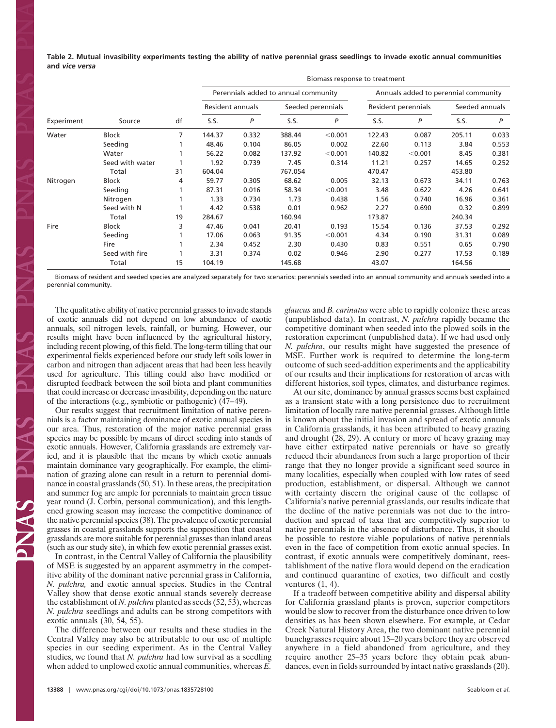**Table 2. Mutual invasibility experiments testing the ability of native perennial grass seedlings to invade exotic annual communities and** *vice versa*

| Experiment | Source          | df | Biomass response to treatment        |       |                   |                                      |                     |         |                |       |
|------------|-----------------|----|--------------------------------------|-------|-------------------|--------------------------------------|---------------------|---------|----------------|-------|
|            |                 |    | Perennials added to annual community |       |                   | Annuals added to perennial community |                     |         |                |       |
|            |                 |    | Resident annuals                     |       | Seeded perennials |                                      | Resident perennials |         | Seeded annuals |       |
|            |                 |    | S.S.                                 | P     | S.S.              | P                                    | S.S.                | P       | S.S.           | P     |
| Water      | <b>Block</b>    | 7  | 144.37                               | 0.332 | 388.44            | < 0.001                              | 122.43              | 0.087   | 205.11         | 0.033 |
|            | Seeding         |    | 48.46                                | 0.104 | 86.05             | 0.002                                | 22.60               | 0.113   | 3.84           | 0.553 |
|            | Water           |    | 56.22                                | 0.082 | 137.92            | < 0.001                              | 140.82              | < 0.001 | 8.45           | 0.381 |
|            | Seed with water |    | 1.92                                 | 0.739 | 7.45              | 0.314                                | 11.21               | 0.257   | 14.65          | 0.252 |
|            | Total           | 31 | 604.04                               |       | 767.054           |                                      | 470.47              |         | 453.80         |       |
| Nitrogen   | Block           | 4  | 59.77                                | 0.305 | 68.62             | 0.005                                | 32.13               | 0.673   | 34.11          | 0.763 |
|            | Seeding         |    | 87.31                                | 0.016 | 58.34             | < 0.001                              | 3.48                | 0.622   | 4.26           | 0.641 |
|            | Nitrogen        |    | 1.33                                 | 0.734 | 1.73              | 0.438                                | 1.56                | 0.740   | 16.96          | 0.361 |
|            | Seed with N     |    | 4.42                                 | 0.538 | 0.01              | 0.962                                | 2.27                | 0.690   | 0.32           | 0.899 |
|            | Total           | 19 | 284.67                               |       | 160.94            |                                      | 173.87              |         | 240.34         |       |
| Fire       | Block           | 3  | 47.46                                | 0.041 | 20.41             | 0.193                                | 15.54               | 0.136   | 37.53          | 0.292 |
|            | Seeding         |    | 17.06                                | 0.063 | 91.35             | < 0.001                              | 4.34                | 0.190   | 31.31          | 0.089 |
|            | Fire            |    | 2.34                                 | 0.452 | 2.30              | 0.430                                | 0.83                | 0.551   | 0.65           | 0.790 |
|            | Seed with fire  |    | 3.31                                 | 0.374 | 0.02              | 0.946                                | 2.90                | 0.277   | 17.53          | 0.189 |
|            | Total           | 15 | 104.19                               |       | 145.68            |                                      | 43.07               |         | 164.56         |       |

Biomass of resident and seeded species are analyzed separately for two scenarios: perennials seeded into an annual community and annuals seeded into a perennial community.

The qualitative ability of native perennial grasses to invade stands of exotic annuals did not depend on low abundance of exotic annuals, soil nitrogen levels, rainfall, or burning. However, our results might have been influenced by the agricultural history, including recent plowing, of this field. The long-term tilling that our experimental fields experienced before our study left soils lower in carbon and nitrogen than adjacent areas that had been less heavily used for agriculture. This tilling could also have modified or disrupted feedback between the soil biota and plant communities that could increase or decrease invasibility, depending on the nature of the interactions (e.g., symbiotic or pathogenic) (47–49).

Our results suggest that recruitment limitation of native perennials is a factor maintaining dominance of exotic annual species in our area. Thus, restoration of the major native perennial grass species may be possible by means of direct seeding into stands of exotic annuals. However, California grasslands are extremely varied, and it is plausible that the means by which exotic annuals maintain dominance vary geographically. For example, the elimination of grazing alone can result in a return to perennial dominance in coastal grasslands (50, 51). In these areas, the precipitation and summer fog are ample for perennials to maintain green tissue year round (J. Corbin, personal communication), and this lengthened growing season may increase the competitive dominance of the native perennial species (38). The prevalence of exotic perennial grasses in coastal grasslands supports the supposition that coastal grasslands are more suitable for perennial grasses than inland areas (such as our study site), in which few exotic perennial grasses exist.

In contrast, in the Central Valley of California the plausibility of MSE is suggested by an apparent asymmetry in the competitive ability of the dominant native perennial grass in California, *N. pulchra,* and exotic annual species. Studies in the Central Valley show that dense exotic annual stands severely decrease the establishment of *N. pulchra* planted as seeds (52, 53), whereas *N. pulchra* seedlings and adults can be strong competitors with exotic annuals (30, 54, 55).

The difference between our results and these studies in the Central Valley may also be attributable to our use of multiple species in our seeding experiment. As in the Central Valley studies, we found that *N. pulchra* had low survival as a seedling when added to unplowed exotic annual communities, whereas *E.*

*glaucus* and *B. carinatus* were able to rapidly colonize these areas (unpublished data). In contrast, *N. pulchra* rapidly became the competitive dominant when seeded into the plowed soils in the restoration experiment (unpublished data). If we had used only *N. pulchra*, our results might have suggested the presence of MSE. Further work is required to determine the long-term outcome of such seed-addition experiments and the applicability of our results and their implications for restoration of areas with different histories, soil types, climates, and disturbance regimes.

At our site, dominance by annual grasses seems best explained as a transient state with a long persistence due to recruitment limitation of locally rare native perennial grasses. Although little is known about the initial invasion and spread of exotic annuals in California grasslands, it has been attributed to heavy grazing and drought (28, 29). A century or more of heavy grazing may have either extirpated native perennials or have so greatly reduced their abundances from such a large proportion of their range that they no longer provide a significant seed source in many localities, especially when coupled with low rates of seed production, establishment, or dispersal. Although we cannot with certainty discern the original cause of the collapse of California's native perennial grasslands, our results indicate that the decline of the native perennials was not due to the introduction and spread of taxa that are competitively superior to native perennials in the absence of disturbance. Thus, it should be possible to restore viable populations of native perennials even in the face of competition from exotic annual species. In contrast, if exotic annuals were competitively dominant, reestablishment of the native flora would depend on the eradication and continued quarantine of exotics, two difficult and costly ventures  $(1, 4)$ .

If a tradeoff between competitive ability and dispersal ability for California grassland plants is proven, superior competitors would be slow to recover from the disturbance once driven to low densities as has been shown elsewhere. For example, at Cedar Creek Natural History Area, the two dominant native perennial bunchgrasses require about 15–20 years before they are observed anywhere in a field abandoned from agriculture, and they require another 25–35 years before they obtain peak abundances, even in fields surrounded by intact native grasslands (20).